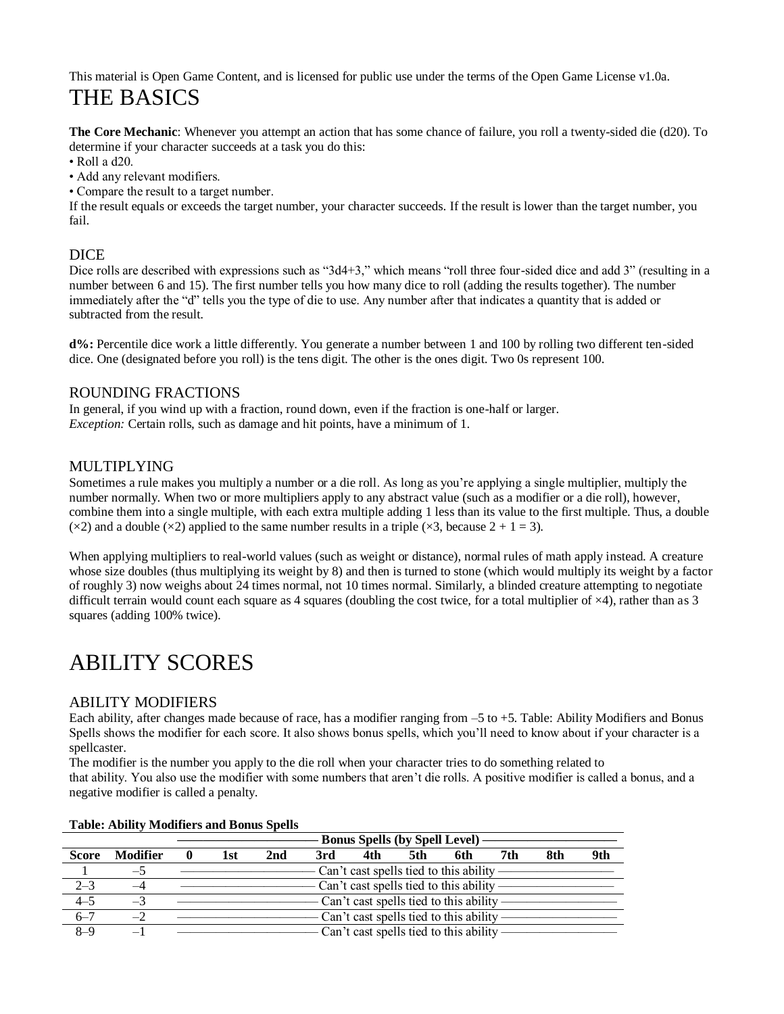This material is Open Game Content, and is licensed for public use under the terms of the Open Game License v1.0a. THE BASICS

**The Core Mechanic**: Whenever you attempt an action that has some chance of failure, you roll a twenty-sided die (d20). To determine if your character succeeds at a task you do this:

• Roll a d20.

• Add any relevant modifiers.

• Compare the result to a target number.

If the result equals or exceeds the target number, your character succeeds. If the result is lower than the target number, you fail.

### **DICE**

Dice rolls are described with expressions such as "3d4+3," which means "roll three four-sided dice and add 3" (resulting in a number between 6 and 15). The first number tells you how many dice to roll (adding the results together). The number immediately after the "d" tells you the type of die to use. Any number after that indicates a quantity that is added or subtracted from the result.

**d%:** Percentile dice work a little differently. You generate a number between 1 and 100 by rolling two different ten-sided dice. One (designated before you roll) is the tens digit. The other is the ones digit. Two 0s represent 100.

### ROUNDING FRACTIONS

In general, if you wind up with a fraction, round down, even if the fraction is one-half or larger. *Exception:* Certain rolls, such as damage and hit points, have a minimum of 1.

### MULTIPLYING

Sometimes a rule makes you multiply a number or a die roll. As long as you're applying a single multiplier, multiply the number normally. When two or more multipliers apply to any abstract value (such as a modifier or a die roll), however, combine them into a single multiple, with each extra multiple adding 1 less than its value to the first multiple. Thus, a double ( $\times$ 2) and a double ( $\times$ 2) applied to the same number results in a triple ( $\times$ 3, because 2 + 1 = 3).

When applying multipliers to real-world values (such as weight or distance), normal rules of math apply instead. A creature whose size doubles (thus multiplying its weight by 8) and then is turned to stone (which would multiply its weight by a factor of roughly 3) now weighs about 24 times normal, not 10 times normal. Similarly, a blinded creature attempting to negotiate difficult terrain would count each square as 4 squares (doubling the cost twice, for a total multiplier of  $\times$ 4), rather than as 3 squares (adding 100% twice).

# ABILITY SCORES

### ABILITY MODIFIERS

Each ability, after changes made because of race, has a modifier ranging from –5 to +5. Table: Ability Modifiers and Bonus Spells shows the modifier for each score. It also shows bonus spells, which you'll need to know about if your character is a spellcaster.

The modifier is the number you apply to the die roll when your character tries to do something related to that ability. You also use the modifier with some numbers that aren't die rolls. A positive modifier is called a bonus, and a negative modifier is called a penalty.

|              |                 | <b>Bonus Spells (by Spell Level)</b> |     |     |     |     |                                          |     |     |     |     |
|--------------|-----------------|--------------------------------------|-----|-----|-----|-----|------------------------------------------|-----|-----|-----|-----|
| <b>Score</b> | <b>Modifier</b> | $\mathbf{0}$                         | 1st | 2nd | 3rd | 4th | 5th                                      | 6th | 7th | 8th | 9th |
|              | $-5$            |                                      |     |     |     |     | Can't cast spells tied to this ability - |     |     |     |     |
| $2 - 3$      | $-4$            |                                      |     |     |     |     | Can't cast spells tied to this ability - |     |     |     |     |
| $4 - 5$      | $-3$            |                                      |     |     |     |     | Can't cast spells tied to this ability   |     |     |     |     |
| $6 - 7$      | $-2$            |                                      |     |     |     |     | Can't cast spells tied to this ability   |     |     |     |     |
| $8 - 9$      |                 |                                      |     |     |     |     | Can't cast spells tied to this ability   |     |     |     |     |

#### **Table: Ability Modifiers and Bonus Spells**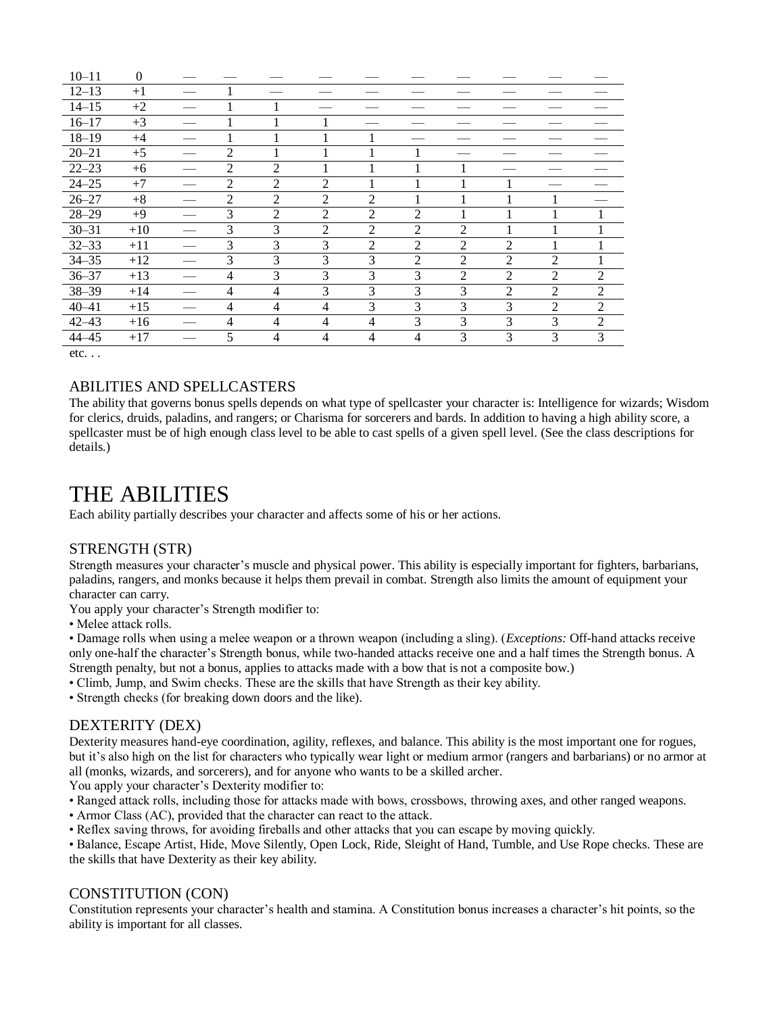| $12 - 13$<br>$+1$<br>$14 - 15$<br>$+2$<br>$16 - 17$<br>$+3$<br>$18 - 19$<br>$+4$<br>$20 - 21$<br>$\overline{2}$<br>$+5$<br>$22 - 23$<br>$\overline{2}$<br>$\overline{2}$<br>$+6$<br>$24 - 25$<br>$\overline{2}$<br>2<br>2<br>$+7$<br>$\overline{2}$<br>$26 - 27$<br>$\overline{2}$<br>$\mathfrak{D}$<br>$+8$<br>2 |                                                    |  |                |   | 0    | $10 - 11$ |
|-------------------------------------------------------------------------------------------------------------------------------------------------------------------------------------------------------------------------------------------------------------------------------------------------------------------|----------------------------------------------------|--|----------------|---|------|-----------|
|                                                                                                                                                                                                                                                                                                                   |                                                    |  |                |   |      |           |
|                                                                                                                                                                                                                                                                                                                   |                                                    |  |                |   |      |           |
|                                                                                                                                                                                                                                                                                                                   |                                                    |  |                |   |      |           |
|                                                                                                                                                                                                                                                                                                                   |                                                    |  |                |   |      |           |
|                                                                                                                                                                                                                                                                                                                   |                                                    |  |                |   |      |           |
|                                                                                                                                                                                                                                                                                                                   |                                                    |  |                |   |      |           |
|                                                                                                                                                                                                                                                                                                                   |                                                    |  |                |   |      |           |
|                                                                                                                                                                                                                                                                                                                   |                                                    |  |                |   |      |           |
|                                                                                                                                                                                                                                                                                                                   | $\mathfrak{D}$<br>$\mathfrak{D}$<br>$\mathfrak{D}$ |  | $\overline{2}$ | 3 | $+9$ | $28 - 29$ |
| $30 - 31$<br>3<br>3<br>2<br>2<br>$\overline{2}$<br>$\overline{c}$<br>$+10$                                                                                                                                                                                                                                        |                                                    |  |                |   |      |           |
| $32 - 33$<br>3<br>3<br>3<br>2<br>2<br>2<br>$\overline{2}$<br>$+11$                                                                                                                                                                                                                                                |                                                    |  |                |   |      |           |
| 3<br>3<br>$34 - 35$<br>3<br>3<br>$\overline{2}$<br>2<br>$\overline{2}$<br>$\overline{c}$<br>$+12$                                                                                                                                                                                                                 |                                                    |  |                |   |      |           |
| 3<br>$36 - 37$<br>3<br>3<br>3<br>$\overline{2}$<br>$\overline{2}$<br>$\overline{2}$<br>$+13$<br>$\overline{4}$<br>$\mathfrak{D}$                                                                                                                                                                                  |                                                    |  |                |   |      |           |
| 3<br>3<br>$38 - 39$<br>3<br>3<br>$\overline{2}$<br>2<br>$\overline{c}$<br>$+14$<br>$\overline{4}$<br>$\overline{4}$                                                                                                                                                                                               |                                                    |  |                |   |      |           |
| 3<br>3<br>3<br>$\overline{4}$<br>3<br>$\overline{2}$<br>$\overline{2}$<br>$40 - 41$<br>$+15$<br>$\overline{4}$<br>$\overline{4}$                                                                                                                                                                                  |                                                    |  |                |   |      |           |
| 3<br>3<br>3<br>$42 - 43$<br>$\overline{4}$<br>3<br>$\overline{2}$<br>$+16$<br>$\overline{4}$<br>$\overline{4}$<br>4                                                                                                                                                                                               |                                                    |  |                |   |      |           |
| $44 - 45$<br>3<br>5<br>3<br>3<br>3<br>$+17$<br>$\overline{4}$<br>4<br>$\overline{4}$<br>4                                                                                                                                                                                                                         |                                                    |  |                |   |      |           |

 $etc. . .$ 

### ABILITIES AND SPELLCASTERS

The ability that governs bonus spells depends on what type of spellcaster your character is: Intelligence for wizards; Wisdom for clerics, druids, paladins, and rangers; or Charisma for sorcerers and bards. In addition to having a high ability score, a spellcaster must be of high enough class level to be able to cast spells of a given spell level. (See the class descriptions for details.)

## THE ABILITIES

Each ability partially describes your character and affects some of his or her actions.

### STRENGTH (STR)

Strength measures your character's muscle and physical power. This ability is especially important for fighters, barbarians, paladins, rangers, and monks because it helps them prevail in combat. Strength also limits the amount of equipment your character can carry.

You apply your character's Strength modifier to:

• Melee attack rolls.

• Damage rolls when using a melee weapon or a thrown weapon (including a sling). (*Exceptions:* Off-hand attacks receive only one-half the character's Strength bonus, while two-handed attacks receive one and a half times the Strength bonus. A Strength penalty, but not a bonus, applies to attacks made with a bow that is not a composite bow.)

• Climb, Jump, and Swim checks. These are the skills that have Strength as their key ability.

• Strength checks (for breaking down doors and the like).

### DEXTERITY (DEX)

Dexterity measures hand-eye coordination, agility, reflexes, and balance. This ability is the most important one for rogues, but it's also high on the list for characters who typically wear light or medium armor (rangers and barbarians) or no armor at all (monks, wizards, and sorcerers), and for anyone who wants to be a skilled archer.

You apply your character's Dexterity modifier to:

- Ranged attack rolls, including those for attacks made with bows, crossbows, throwing axes, and other ranged weapons.
- Armor Class (AC), provided that the character can react to the attack.
- Reflex saving throws, for avoiding fireballs and other attacks that you can escape by moving quickly.

• Balance, Escape Artist, Hide, Move Silently, Open Lock, Ride, Sleight of Hand, Tumble, and Use Rope checks. These are the skills that have Dexterity as their key ability.

### CONSTITUTION (CON)

Constitution represents your character's health and stamina. A Constitution bonus increases a character's hit points, so the ability is important for all classes.